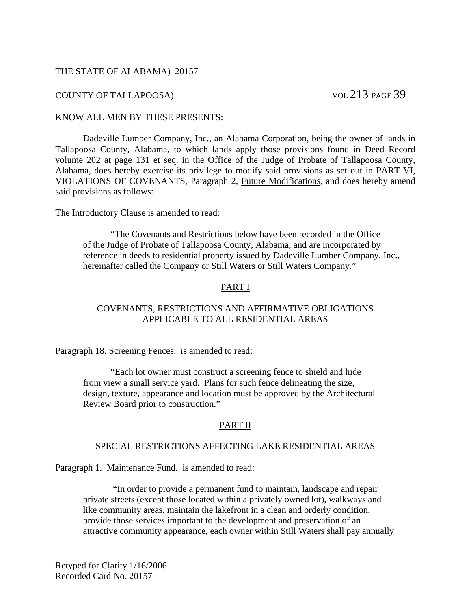### THE STATE OF ALABAMA) 20157

# COUNTY OF TALLAPOOSA) VOL 213 PAGE 39

#### KNOW ALL MEN BY THESE PRESENTS:

 Dadeville Lumber Company, Inc., an Alabama Corporation, being the owner of lands in Tallapoosa County, Alabama, to which lands apply those provisions found in Deed Record volume 202 at page 131 et seq. in the Office of the Judge of Probate of Tallapoosa County, Alabama, does hereby exercise its privilege to modify said provisions as set out in PART VI, VIOLATIONS OF COVENANTS, Paragraph 2, Future Modifications, and does hereby amend said provisions as follows:

The Introductory Clause is amended to read:

 "The Covenants and Restrictions below have been recorded in the Office of the Judge of Probate of Tallapoosa County, Alabama, and are incorporated by reference in deeds to residential property issued by Dadeville Lumber Company, Inc., hereinafter called the Company or Still Waters or Still Waters Company."

### PART I

### COVENANTS, RESTRICTIONS AND AFFIRMATIVE OBLIGATIONS APPLICABLE TO ALL RESIDENTIAL AREAS

Paragraph 18. Screening Fences. is amended to read:

 "Each lot owner must construct a screening fence to shield and hide from view a small service yard. Plans for such fence delineating the size, design, texture, appearance and location must be approved by the Architectural Review Board prior to construction."

#### PART II

## SPECIAL RESTRICTIONS AFFECTING LAKE RESIDENTIAL AREAS

Paragraph 1. Maintenance Fund. is amended to read:

 "In order to provide a permanent fund to maintain, landscape and repair private streets (except those located within a privately owned lot), walkways and like community areas, maintain the lakefront in a clean and orderly condition, provide those services important to the development and preservation of an attractive community appearance, each owner within Still Waters shall pay annually

Retyped for Clarity 1/16/2006 Recorded Card No. 20157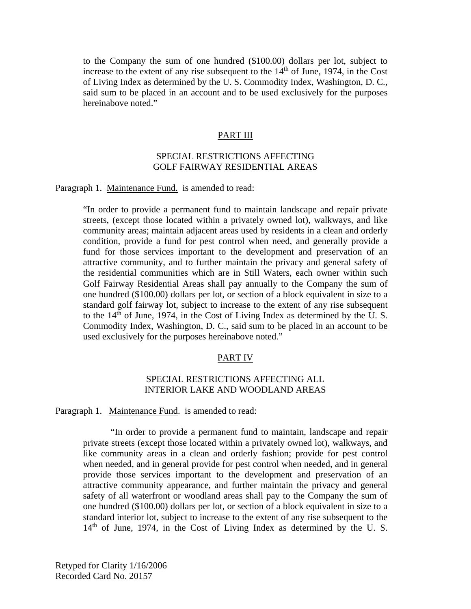to the Company the sum of one hundred (\$100.00) dollars per lot, subject to increase to the extent of any rise subsequent to the  $14<sup>th</sup>$  of June, 1974, in the Cost of Living Index as determined by the U. S. Commodity Index, Washington, D. C., said sum to be placed in an account and to be used exclusively for the purposes hereinabove noted."

#### PART III

## SPECIAL RESTRICTIONS AFFECTING GOLF FAIRWAY RESIDENTIAL AREAS

Paragraph 1. Maintenance Fund. is amended to read:

"In order to provide a permanent fund to maintain landscape and repair private streets, (except those located within a privately owned lot), walkways, and like community areas; maintain adjacent areas used by residents in a clean and orderly condition, provide a fund for pest control when need, and generally provide a fund for those services important to the development and preservation of an attractive community, and to further maintain the privacy and general safety of the residential communities which are in Still Waters, each owner within such Golf Fairway Residential Areas shall pay annually to the Company the sum of one hundred (\$100.00) dollars per lot, or section of a block equivalent in size to a standard golf fairway lot, subject to increase to the extent of any rise subsequent to the  $14<sup>th</sup>$  of June, 1974, in the Cost of Living Index as determined by the U.S. Commodity Index, Washington, D. C., said sum to be placed in an account to be used exclusively for the purposes hereinabove noted."

#### PART IV

### SPECIAL RESTRICTIONS AFFECTING ALL INTERIOR LAKE AND WOODLAND AREAS

Paragraph 1. Maintenance Fund. is amended to read:

 "In order to provide a permanent fund to maintain, landscape and repair private streets (except those located within a privately owned lot), walkways, and like community areas in a clean and orderly fashion; provide for pest control when needed, and in general provide for pest control when needed, and in general provide those services important to the development and preservation of an attractive community appearance, and further maintain the privacy and general safety of all waterfront or woodland areas shall pay to the Company the sum of one hundred (\$100.00) dollars per lot, or section of a block equivalent in size to a standard interior lot, subject to increase to the extent of any rise subsequent to the  $14<sup>th</sup>$  of June, 1974, in the Cost of Living Index as determined by the U.S.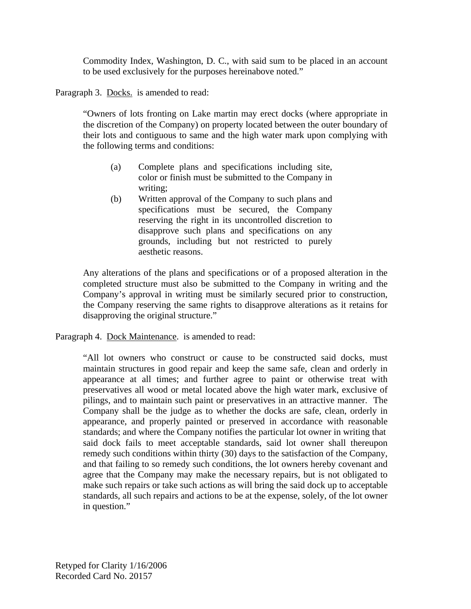Commodity Index, Washington, D. C., with said sum to be placed in an account to be used exclusively for the purposes hereinabove noted."

Paragraph 3. Docks. is amended to read:

"Owners of lots fronting on Lake martin may erect docks (where appropriate in the discretion of the Company) on property located between the outer boundary of their lots and contiguous to same and the high water mark upon complying with the following terms and conditions:

- (a) Complete plans and specifications including site, color or finish must be submitted to the Company in writing;
- (b) Written approval of the Company to such plans and specifications must be secured, the Company reserving the right in its uncontrolled discretion to disapprove such plans and specifications on any grounds, including but not restricted to purely aesthetic reasons.

Any alterations of the plans and specifications or of a proposed alteration in the completed structure must also be submitted to the Company in writing and the Company's approval in writing must be similarly secured prior to construction, the Company reserving the same rights to disapprove alterations as it retains for disapproving the original structure."

Paragraph 4. Dock Maintenance. is amended to read:

"All lot owners who construct or cause to be constructed said docks, must maintain structures in good repair and keep the same safe, clean and orderly in appearance at all times; and further agree to paint or otherwise treat with preservatives all wood or metal located above the high water mark, exclusive of pilings, and to maintain such paint or preservatives in an attractive manner. The Company shall be the judge as to whether the docks are safe, clean, orderly in appearance, and properly painted or preserved in accordance with reasonable standards; and where the Company notifies the particular lot owner in writing that said dock fails to meet acceptable standards, said lot owner shall thereupon remedy such conditions within thirty (30) days to the satisfaction of the Company, and that failing to so remedy such conditions, the lot owners hereby covenant and agree that the Company may make the necessary repairs, but is not obligated to make such repairs or take such actions as will bring the said dock up to acceptable standards, all such repairs and actions to be at the expense, solely, of the lot owner in question."